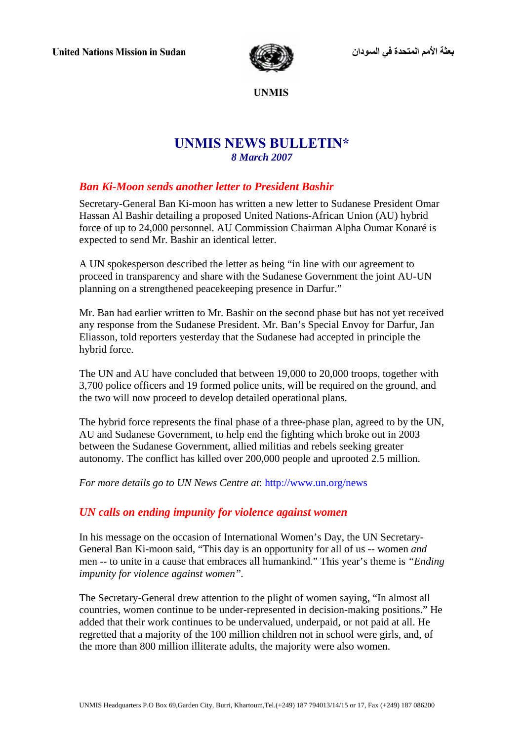

 **UNMIS** 

# **UNMIS NEWS BULLETIN\***  *8 March 2007*

## *Ban Ki-Moon sends another letter to President Bashir*

Secretary-General Ban Ki-moon has written a new letter to Sudanese President Omar Hassan Al Bashir detailing a proposed United Nations-African Union (AU) hybrid force of up to 24,000 personnel. AU Commission Chairman Alpha Oumar Konaré is expected to send Mr. Bashir an identical letter.

A UN spokesperson described the letter as being "in line with our agreement to proceed in transparency and share with the Sudanese Government the joint AU-UN planning on a strengthened peacekeeping presence in Darfur."

Mr. Ban had earlier written to Mr. Bashir on the second phase but has not yet received any response from the Sudanese President. Mr. Ban's Special Envoy for Darfur, Jan Eliasson, told reporters yesterday that the Sudanese had accepted in principle the hybrid force.

The UN and AU have concluded that between 19,000 to 20,000 troops, together with 3,700 police officers and 19 formed police units, will be required on the ground, and the two will now proceed to develop detailed operational plans.

The hybrid force represents the final phase of a three-phase plan, agreed to by the UN, AU and Sudanese Government, to help end the fighting which broke out in 2003 between the Sudanese Government, allied militias and rebels seeking greater autonomy. The conflict has killed over 200,000 people and uprooted 2.5 million.

*For more details go to UN News Centre at*: http://www.un.org/news

## *UN calls on ending impunity for violence against women*

In his message on the occasion of International Women's Day, the UN Secretary-General Ban Ki-moon said, "This day is an opportunity for all of us -- women *and* men -- to unite in a cause that embraces all humankind." This year's theme is *"Ending impunity for violence against women".* 

The Secretary-General drew attention to the plight of women saying, "In almost all countries, women continue to be under-represented in decision-making positions." He added that their work continues to be undervalued, underpaid, or not paid at all. He regretted that a majority of the 100 million children not in school were girls, and, of the more than 800 million illiterate adults, the majority were also women.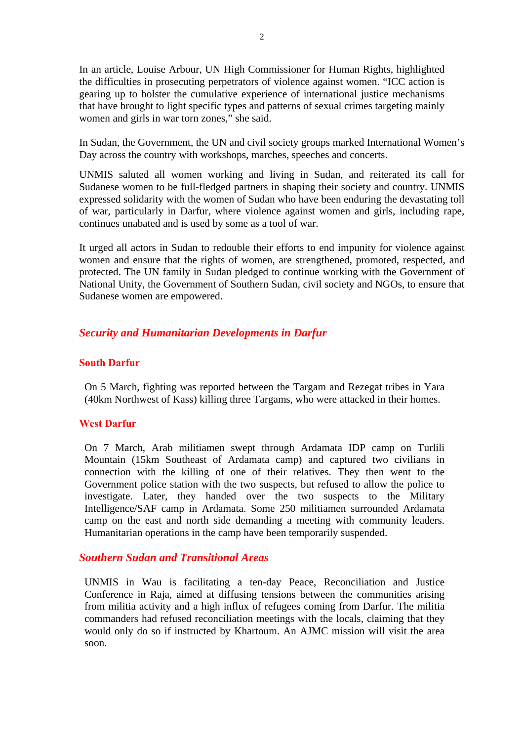In an article, Louise Arbour, UN High Commissioner for Human Rights, highlighted the difficulties in prosecuting perpetrators of violence against women. "ICC action is gearing up to bolster the cumulative experience of international justice mechanisms that have brought to light specific types and patterns of sexual crimes targeting mainly women and girls in war torn zones," she said.

In Sudan, the Government, the UN and civil society groups marked International Women's Day across the country with workshops, marches, speeches and concerts.

UNMIS saluted all women working and living in Sudan, and reiterated its call for Sudanese women to be full-fledged partners in shaping their society and country. UNMIS expressed solidarity with the women of Sudan who have been enduring the devastating toll of war, particularly in Darfur, where violence against women and girls, including rape, continues unabated and is used by some as a tool of war.

It urged all actors in Sudan to redouble their efforts to end impunity for violence against women and ensure that the rights of women, are strengthened, promoted, respected, and protected. The UN family in Sudan pledged to continue working with the Government of National Unity, the Government of Southern Sudan, civil society and NGOs, to ensure that Sudanese women are empowered.

## *Security and Humanitarian Developments in Darfur*

#### **South Darfur**

On 5 March, fighting was reported between the Targam and Rezegat tribes in Yara (40km Northwest of Kass) killing three Targams, who were attacked in their homes.

#### **West Darfur**

On 7 March, Arab militiamen swept through Ardamata IDP camp on Turlili Mountain (15km Southeast of Ardamata camp) and captured two civilians in connection with the killing of one of their relatives. They then went to the Government police station with the two suspects, but refused to allow the police to investigate. Later, they handed over the two suspects to the Military Intelligence/SAF camp in Ardamata. Some 250 militiamen surrounded Ardamata camp on the east and north side demanding a meeting with community leaders. Humanitarian operations in the camp have been temporarily suspended.

### *Southern Sudan and Transitional Areas*

UNMIS in Wau is facilitating a ten-day Peace, Reconciliation and Justice Conference in Raja, aimed at diffusing tensions between the communities arising from militia activity and a high influx of refugees coming from Darfur. The militia commanders had refused reconciliation meetings with the locals, claiming that they would only do so if instructed by Khartoum. An AJMC mission will visit the area soon.